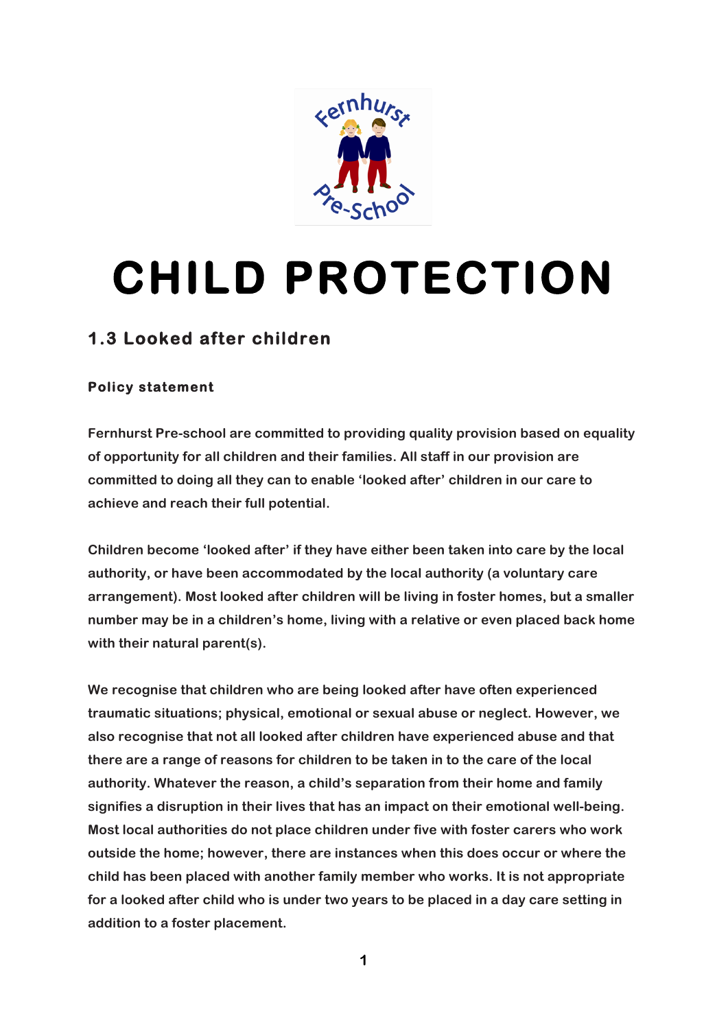

# **CHILD PROTECTION**

# **1.3 Looked after children**

### **Policy statement**

**Fernhurst Pre-school are committed to providing quality provision based on equality of opportunity for all children and their families. All staff in our provision are committed to doing all they can to enable 'looked after' children in our care to achieve and reach their full potential.**

**Children become 'looked after' if they have either been taken into care by the local authority, or have been accommodated by the local authority (a voluntary care arrangement). Most looked after children will be living in foster homes, but a smaller number may be in a children's home, living with a relative or even placed back home with their natural parent(s).**

**We recognise that children who are being looked after have often experienced traumatic situations; physical, emotional or sexual abuse or neglect. However, we also recognise that not all looked after children have experienced abuse and that there are a range of reasons for children to be taken in to the care of the local authority. Whatever the reason, a child's separation from their home and family signifies a disruption in their lives that has an impact on their emotional well-being. Most local authorities do not place children under five with foster carers who work outside the home; however, there are instances when this does occur or where the child has been placed with another family member who works. It is not appropriate for a looked after child who is under two years to be placed in a day care setting in addition to a foster placement.**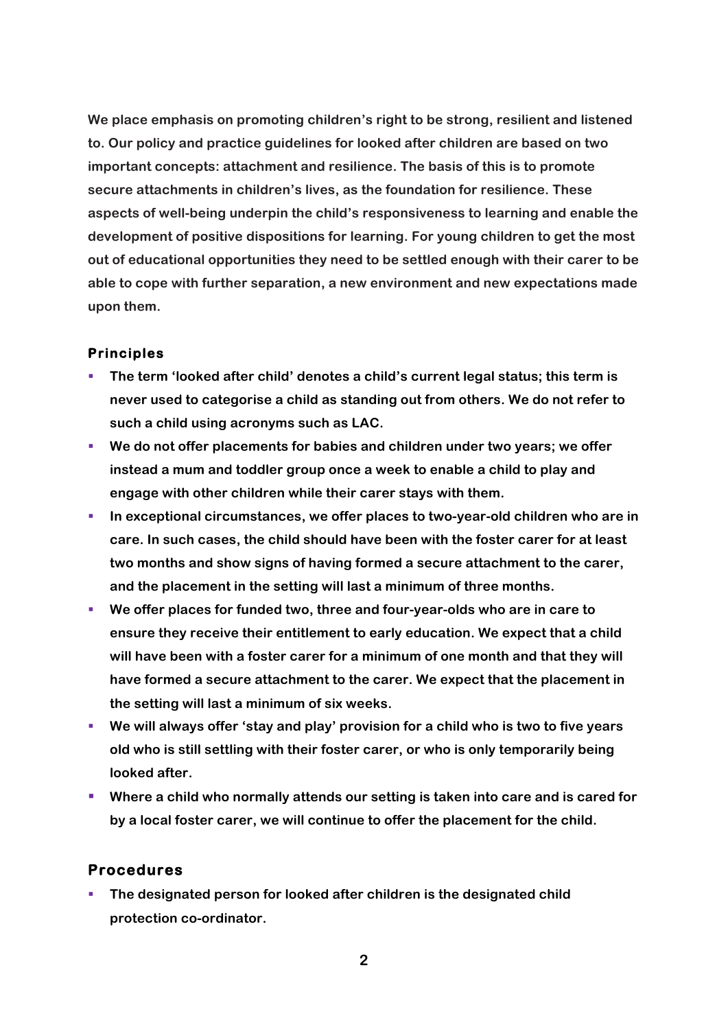**We place emphasis on promoting children's right to be strong, resilient and listened to. Our policy and practice guidelines for looked after children are based on two important concepts: attachment and resilience. The basis of this is to promote secure attachments in children's lives, as the foundation for resilience. These aspects of well-being underpin the child's responsiveness to learning and enable the development of positive dispositions for learning. For young children to get the most out of educational opportunities they need to be settled enough with their carer to be able to cope with further separation, a new environment and new expectations made upon them.**

#### **Principles**

- § **The term 'looked after child' denotes a child's current legal status; this term is never used to categorise a child as standing out from others. We do not refer to such a child using acronyms such as LAC.**
- § **We do not offer placements for babies and children under two years; we offer instead a mum and toddler group once a week to enable a child to play and engage with other children while their carer stays with them.**
- § **In exceptional circumstances, we offer places to two-year-old children who are in care. In such cases, the child should have been with the foster carer for at least two months and show signs of having formed a secure attachment to the carer, and the placement in the setting will last a minimum of three months.**
- § **We offer places for funded two, three and four-year-olds who are in care to ensure they receive their entitlement to early education. We expect that a child will have been with a foster carer for a minimum of one month and that they will have formed a secure attachment to the carer. We expect that the placement in the setting will last a minimum of six weeks.**
- We will always offer 'stay and play' provision for a child who is two to five years **old who is still settling with their foster carer, or who is only temporarily being looked after.**
- Where a child who normally attends our setting is taken into care and is cared for **by a local foster carer, we will continue to offer the placement for the child.**

#### **Procedures**

§ **The designated person for looked after children is the designated child protection co-ordinator.**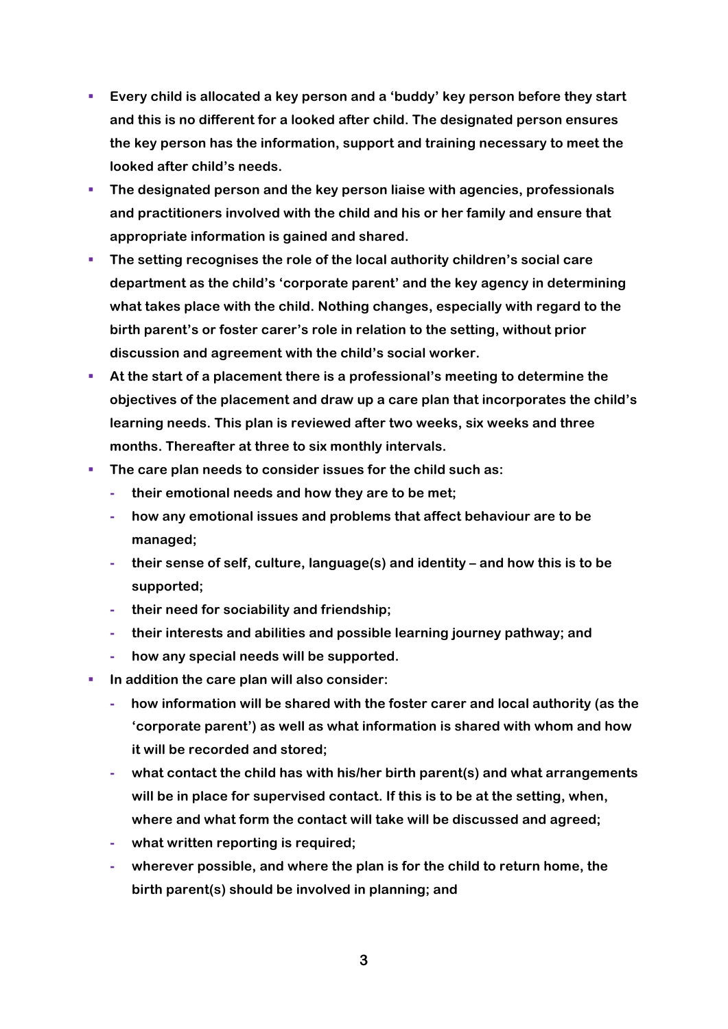- § **Every child is allocated a key person and a 'buddy' key person before they start and this is no different for a looked after child. The designated person ensures the key person has the information, support and training necessary to meet the looked after child's needs.**
- § **The designated person and the key person liaise with agencies, professionals and practitioners involved with the child and his or her family and ensure that appropriate information is gained and shared.**
- § **The setting recognises the role of the local authority children's social care department as the child's 'corporate parent' and the key agency in determining what takes place with the child. Nothing changes, especially with regard to the birth parent's or foster carer's role in relation to the setting, without prior discussion and agreement with the child's social worker.**
- § **At the start of a placement there is a professional's meeting to determine the objectives of the placement and draw up a care plan that incorporates the child's learning needs. This plan is reviewed after two weeks, six weeks and three months. Thereafter at three to six monthly intervals.**
- **FIGURE 1** The care plan needs to consider issues for the child such as:
	- **- their emotional needs and how they are to be met;**
	- **- how any emotional issues and problems that affect behaviour are to be managed;**
	- **- their sense of self, culture, language(s) and identity – and how this is to be supported;**
	- **- their need for sociability and friendship;**
	- **- their interests and abilities and possible learning journey pathway; and**
	- **- how any special needs will be supported.**
- In addition the care plan will also consider:
	- **- how information will be shared with the foster carer and local authority (as the 'corporate parent') as well as what information is shared with whom and how it will be recorded and stored;**
	- **- what contact the child has with his/her birth parent(s) and what arrangements will be in place for supervised contact. If this is to be at the setting, when, where and what form the contact will take will be discussed and agreed;**
	- **- what written reporting is required;**
	- **- wherever possible, and where the plan is for the child to return home, the birth parent(s) should be involved in planning; and**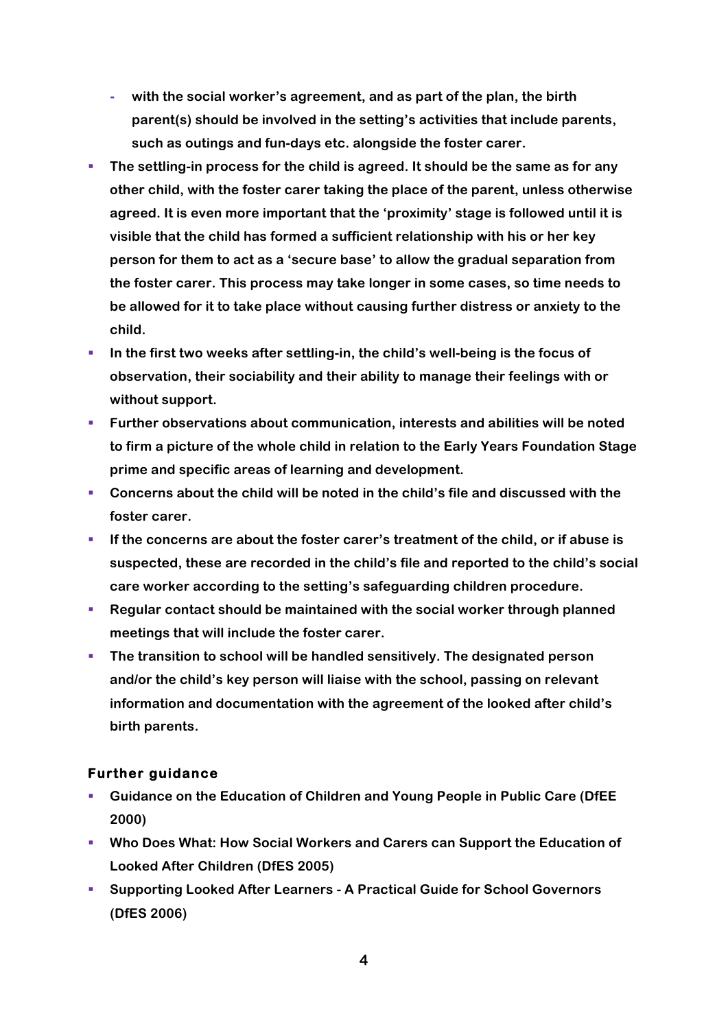- **- with the social worker's agreement, and as part of the plan, the birth parent(s) should be involved in the setting's activities that include parents, such as outings and fun-days etc. alongside the foster carer.**
- **The settling-in process for the child is agreed. It should be the same as for any other child, with the foster carer taking the place of the parent, unless otherwise agreed. It is even more important that the 'proximity' stage is followed until it is visible that the child has formed a sufficient relationship with his or her key person for them to act as a 'secure base' to allow the gradual separation from the foster carer. This process may take longer in some cases, so time needs to be allowed for it to take place without causing further distress or anxiety to the child.**
- In the first two weeks after settling-in, the child's well-being is the focus of **observation, their sociability and their ability to manage their feelings with or without support.**
- § **Further observations about communication, interests and abilities will be noted to firm a picture of the whole child in relation to the Early Years Foundation Stage prime and specific areas of learning and development.**
- § **Concerns about the child will be noted in the child's file and discussed with the foster carer.**
- **EXPLO IF the concerns are about the foster carer's treatment of the child, or if abuse is suspected, these are recorded in the child's file and reported to the child's social care worker according to the setting's safeguarding children procedure.**
- § **Regular contact should be maintained with the social worker through planned meetings that will include the foster carer.**
- § **The transition to school will be handled sensitively. The designated person and/or the child's key person will liaise with the school, passing on relevant information and documentation with the agreement of the looked after child's birth parents.**

#### **Further guidance**

- § **Guidance on the Education of Children and Young People in Public Care (DfEE 2000)**
- § **Who Does What: How Social Workers and Carers can Support the Education of Looked After Children (DfES 2005)**
- § **Supporting Looked After Learners - A Practical Guide for School Governors (DfES 2006)**